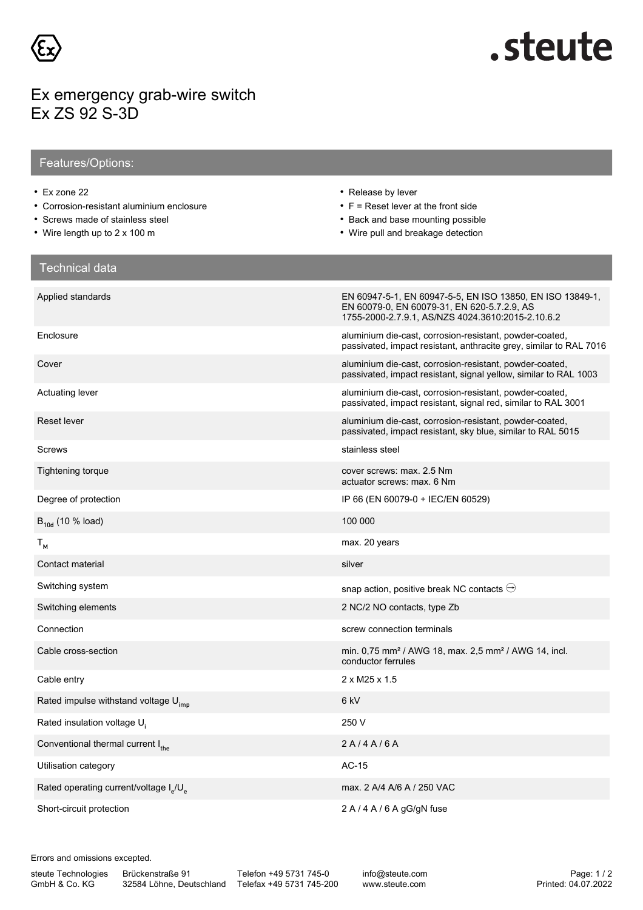

## .steute

## Ex emergency grab-wire switch Ex ZS 92 S-3D

## Features/Options:

- Ex zone 22
- Corrosion-resistant aluminium enclosure
- Screws made of stainless steel
- Wire length up to 2 x 100 m
- Release by lever
- F = Reset lever at the front side
- Back and base mounting possible
- Wire pull and breakage detection

| <b>Technical data</b>                                          |                                                                                                                                                               |
|----------------------------------------------------------------|---------------------------------------------------------------------------------------------------------------------------------------------------------------|
| Applied standards                                              | EN 60947-5-1, EN 60947-5-5, EN ISO 13850, EN ISO 13849-1,<br>EN 60079-0, EN 60079-31, EN 620-5.7.2.9, AS<br>1755-2000-2.7.9.1. AS/NZS 4024.3610:2015-2.10.6.2 |
| Enclosure                                                      | aluminium die-cast, corrosion-resistant, powder-coated,<br>passivated, impact resistant, anthracite grey, similar to RAL 7016                                 |
| Cover                                                          | aluminium die-cast, corrosion-resistant, powder-coated,<br>passivated, impact resistant, signal yellow, similar to RAL 1003                                   |
| Actuating lever                                                | aluminium die-cast, corrosion-resistant, powder-coated,<br>passivated, impact resistant, signal red, similar to RAL 3001                                      |
| Reset lever                                                    | aluminium die-cast, corrosion-resistant, powder-coated,<br>passivated, impact resistant, sky blue, similar to RAL 5015                                        |
| Screws                                                         | stainless steel                                                                                                                                               |
| <b>Tightening torque</b>                                       | cover screws: max. 2.5 Nm<br>actuator screws: max. 6 Nm                                                                                                       |
| Degree of protection                                           | IP 66 (EN 60079-0 + IEC/EN 60529)                                                                                                                             |
| $B_{10d}$ (10 % load)                                          | 100 000                                                                                                                                                       |
| $T_{M}$                                                        | max. 20 years                                                                                                                                                 |
| Contact material                                               | silver                                                                                                                                                        |
| Switching system                                               | snap action, positive break NC contacts $\ominus$                                                                                                             |
| Switching elements                                             | 2 NC/2 NO contacts, type Zb                                                                                                                                   |
| Connection                                                     | screw connection terminals                                                                                                                                    |
| Cable cross-section                                            | min. 0,75 mm <sup>2</sup> / AWG 18, max. 2,5 mm <sup>2</sup> / AWG 14, incl.<br>conductor ferrules                                                            |
| Cable entry                                                    | $2 \times M25 \times 1.5$                                                                                                                                     |
| Rated impulse withstand voltage U <sub>imp</sub>               | 6 kV                                                                                                                                                          |
| Rated insulation voltage U.                                    | 250 V                                                                                                                                                         |
| Conventional thermal current I <sub>the</sub>                  | 2A/4A/6A                                                                                                                                                      |
| Utilisation category                                           | $AC-15$                                                                                                                                                       |
| Rated operating current/voltage I <sub>s</sub> /U <sub>s</sub> | max. 2 A/4 A/6 A / 250 VAC                                                                                                                                    |
| Short-circuit protection                                       | $2 A / 4 A / 6 A gG/gN$ fuse                                                                                                                                  |

Errors and omissions excepted.